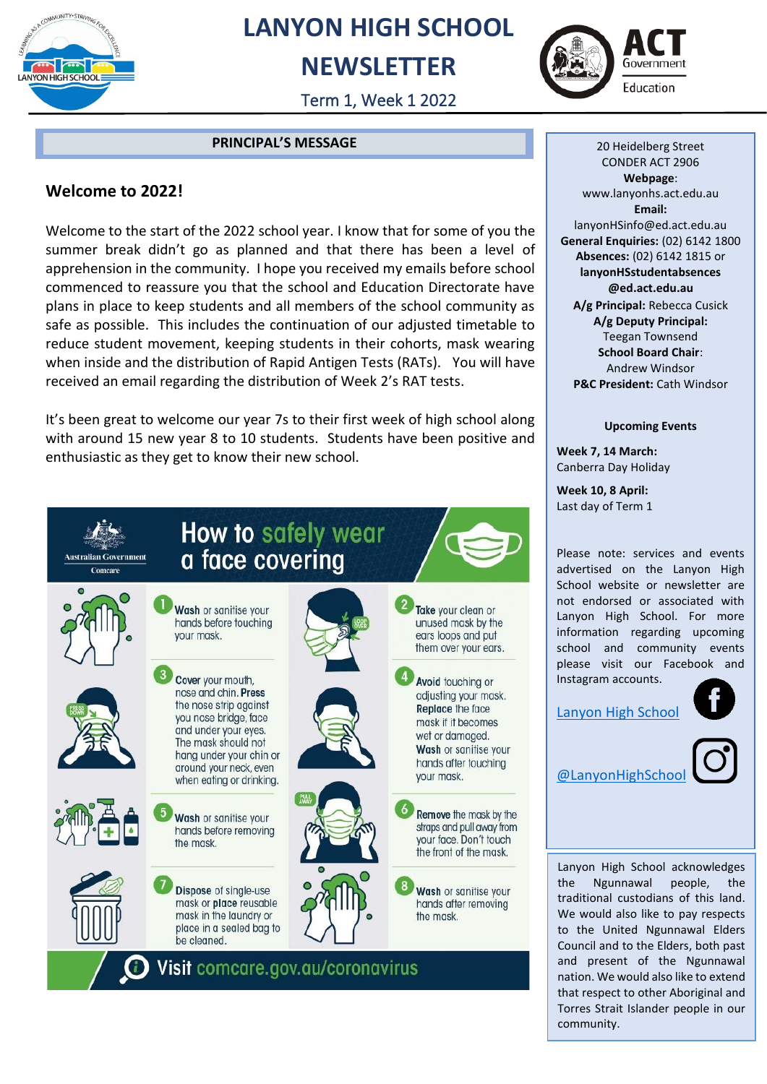

## **LANYON HIGH SCHOOL**

### **NEWSLETTER**



Term 1, Week 1 2022

#### **PRINCIPAL'S MESSAGE**

#### **Welcome to 2022!**

Welcome to the start of the 2022 school year. I know that for some of you the summer break didn't go as planned and that there has been a level of apprehension in the community. I hope you received my emails before school commenced to reassure you that the school and Education Directorate have plans in place to keep students and all members of the school community as safe as possible. This includes the continuation of our adjusted timetable to reduce student movement, keeping students in their cohorts, mask wearing when inside and the distribution of Rapid Antigen Tests (RATs). You will have received an email regarding the distribution of Week 2's RAT tests.

It's been great to welcome our year 7s to their first week of high school along with around 15 new year 8 to 10 students. Students have been positive and enthusiastic as they get to know their new school.



20 Heidelberg Street CONDER ACT 2906 **Webpage**: www.lanyonhs.act.edu.au **Email:**  lanyonHSinfo@ed.act.edu.au **General Enquiries:** (02) 6142 1800 **Absences:** (02) 6142 1815 or **lanyonHSstudentabsences @ed.act.edu.au A/g Principal:** Rebecca Cusick **A/g Deputy Principal:** Teegan Townsend **School Board Chair**: Andrew Windsor **P&C President:** Cath Windsor

#### **Upcoming Events**

**Week 7, 14 March:** Canberra Day Holiday

**Week 10, 8 April:** Last day of Term 1

Please note: services and events advertised on the Lanyon High School website or newsletter are not endorsed or associated with Lanyon High School. For more information regarding upcoming school and community events please visit our Facebook and Instagram accounts.

[Lanyon High School](https://www.facebook.com/LanyonHS.OfficialPage)

[@LanyonHighSchool](https://www.instagram.com/lanyonhighschool/)

Lanyon High School acknowledges the Ngunnawal people, the traditional custodians of this land. We would also like to pay respects to the United Ngunnawal Elders Council and to the Elders, both past and present of the Ngunnawal nation. We would also like to extend that respect to other Aboriginal and Torres Strait Islander people in our community.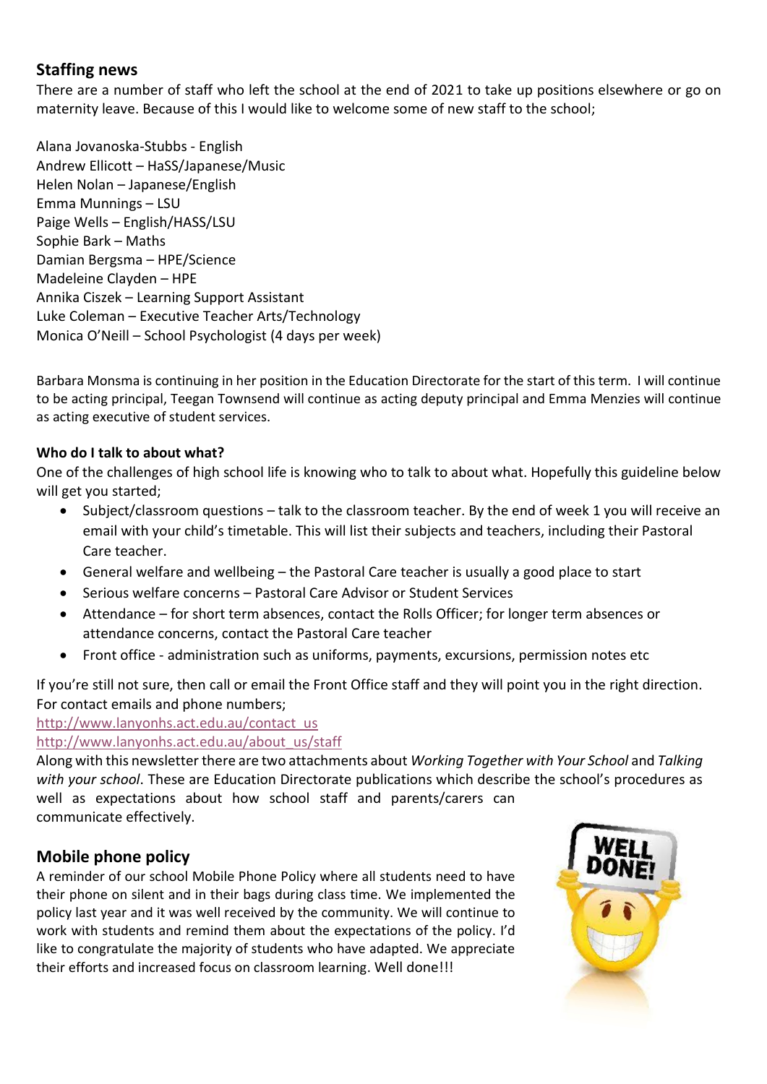#### **Staffing news**

There are a number of staff who left the school at the end of 2021 to take up positions elsewhere or go on maternity leave. Because of this I would like to welcome some of new staff to the school;

Alana Jovanoska-Stubbs - English Andrew Ellicott – HaSS/Japanese/Music Helen Nolan – Japanese/English Emma Munnings – LSU Paige Wells – English/HASS/LSU Sophie Bark – Maths Damian Bergsma – HPE/Science Madeleine Clayden – HPE Annika Ciszek – Learning Support Assistant Luke Coleman – Executive Teacher Arts/Technology Monica O'Neill – School Psychologist (4 days per week)

Barbara Monsma is continuing in her position in the Education Directorate for the start of this term. I will continue to be acting principal, Teegan Townsend will continue as acting deputy principal and Emma Menzies will continue as acting executive of student services.

#### **Who do I talk to about what?**

One of the challenges of high school life is knowing who to talk to about what. Hopefully this guideline below will get you started;

- Subject/classroom questions talk to the classroom teacher. By the end of week 1 you will receive an email with your child's timetable. This will list their subjects and teachers, including their Pastoral Care teacher.
- General welfare and wellbeing the Pastoral Care teacher is usually a good place to start
- Serious welfare concerns Pastoral Care Advisor or Student Services
- Attendance for short term absences, contact the Rolls Officer; for longer term absences or attendance concerns, contact the Pastoral Care teacher
- Front office administration such as uniforms, payments, excursions, permission notes etc

If you're still not sure, then call or email the Front Office staff and they will point you in the right direction. For contact emails and phone numbers;

#### [http://www.lanyonhs.act.edu.au/contact\\_us](http://www.lanyonhs.act.edu.au/contact_us)

[http://www.lanyonhs.act.edu.au/about\\_us/staff](http://www.lanyonhs.act.edu.au/about_us/staff)

Along with this newsletter there are two attachments about *Working Together with Your School* and *Talking with your school*. These are Education Directorate publications which describe the school's procedures as well as expectations about how school staff and parents/carers can communicate effectively.

#### **Mobile phone policy**

A reminder of our school Mobile Phone Policy where all students need to have their phone on silent and in their bags during class time. We implemented the policy last year and it was well received by the community. We will continue to work with students and remind them about the expectations of the policy. I'd like to congratulate the majority of students who have adapted. We appreciate their efforts and increased focus on classroom learning. Well done!!!

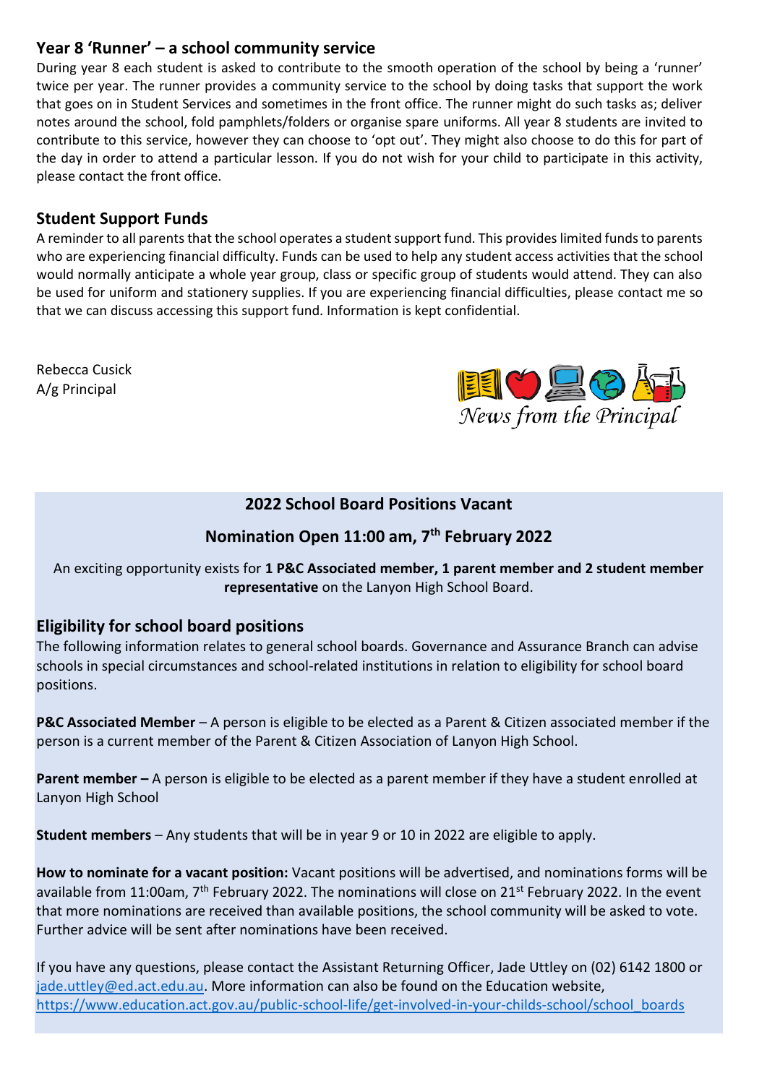#### **Year 8 'Runner' – a school community service**

During year 8 each student is asked to contribute to the smooth operation of the school by being a 'runner' twice per year. The runner provides a community service to the school by doing tasks that support the work that goes on in Student Services and sometimes in the front office. The runner might do such tasks as; deliver notes around the school, fold pamphlets/folders or organise spare uniforms. All year 8 students are invited to contribute to this service, however they can choose to 'opt out'. They might also choose to do this for part of the day in order to attend a particular lesson. If you do not wish for your child to participate in this activity, please contact the front office.

#### **Student Support Funds**

A reminder to all parents that the school operates a student support fund. This provides limited funds to parents who are experiencing financial difficulty. Funds can be used to help any student access activities that the school would normally anticipate a whole year group, class or specific group of students would attend. They can also be used for uniform and stationery supplies. If you are experiencing financial difficulties, please contact me so that we can discuss accessing this support fund. Information is kept confidential.

Rebecca Cusick A/g Principal



#### **2022 School Board Positions Vacant**

#### **Nomination Open 11:00 am, 7th February 2022**

An exciting opportunity exists for **1 P&C Associated member, 1 parent member and 2 student member representative** on the Lanyon High School Board.

#### **Eligibility for school board positions**

The following information relates to general school boards. Governance and Assurance Branch can advise schools in special circumstances and school-related institutions in relation to eligibility for school board positions.

**P&C Associated Member** – A person is eligible to be elected as a Parent & Citizen associated member if the person is a current member of the Parent & Citizen Association of Lanyon High School.

**Parent member –** A person is eligible to be elected as a parent member if they have a student enrolled at Lanyon High School

**Student members** – Any students that will be in year 9 or 10 in 2022 are eligible to apply.

**How to nominate for a vacant position:** Vacant positions will be advertised, and nominations forms will be available from 11:00am, 7<sup>th</sup> February 2022. The nominations will close on 21<sup>st</sup> February 2022. In the event that more nominations are received than available positions, the school community will be asked to vote. Further advice will be sent after nominations have been received.

If you have any questions, please contact the Assistant Returning Officer, Jade Uttley on (02) 6142 1800 or [jade.uttley@ed.act.edu.au.](mailto:jade.uttley@ed.act.edu.au) More information can also be found on the Education website, [https://www.education.act.gov.au/public-school-life/get-involved-in-your-childs-school/school\\_boards](https://www.education.act.gov.au/public-school-life/get-involved-in-your-childs-school/school_boards)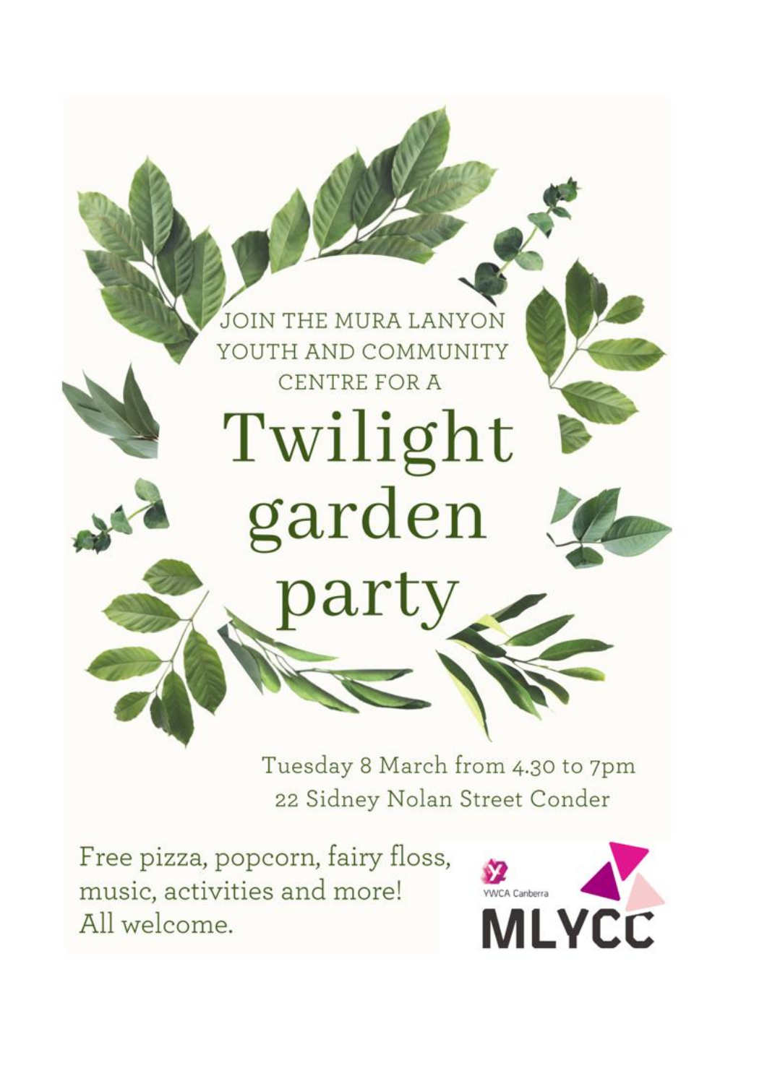

Tuesday 8 March from 4.30 to 7pm 22 Sidney Nolan Street Conder

Free pizza, popcorn, fairy floss, music, activities and more! All welcome.

![](_page_3_Picture_3.jpeg)